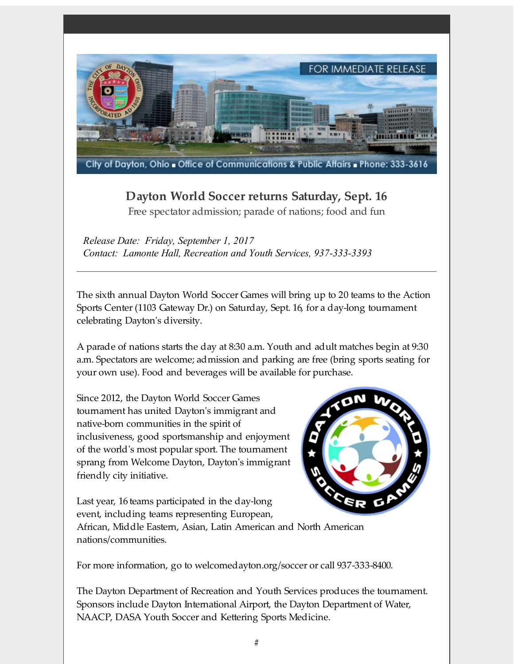

## **Dayton World Soccer returns Saturday, Sept. 16**

Free spectator admission; parade of nations; food and fun

*Release Date: Friday, September 1, 2017 Contact: Lamonte Hall, Recreation and Youth Services, 937-333-3393*

The sixth annual Dayton World Soccer Games will bring up to 20 teams to the Action Sports Center (1103 Gateway Dr.) on Saturday, Sept. 16, for a day-long tournament celebrating Dayton's diversity.

A parade of nations starts the day at 8:30 a.m. Youth and adult matches begin at 9:30 a.m. Spectators are welcome; admission and parking are free (bring sports seating for your own use). Food and beverages will be available for purchase.

Since 2012, the Dayton World Soccer Games tournament has united Dayton's immigrant and native-born communities in the spirit of inclusiveness, good sportsmanship and enjoyment of the world's most popular sport. The tournament sprang from Welcome Dayton, Dayton's immigrant friendly city initiative.

Last year, 16 teams participated in the day-long event, including teams representing European,



African, Middle Eastern, Asian, Latin American and North American nations/communities.

For more information, go to welcomedayton.org/soccer or call 937-333-8400.

The Dayton Department of Recreation and Youth Services produces the tournament. Sponsors include Dayton International Airport, the Dayton Department of Water, NAACP, DASA Youth Soccer and Kettering Sports Medicine.